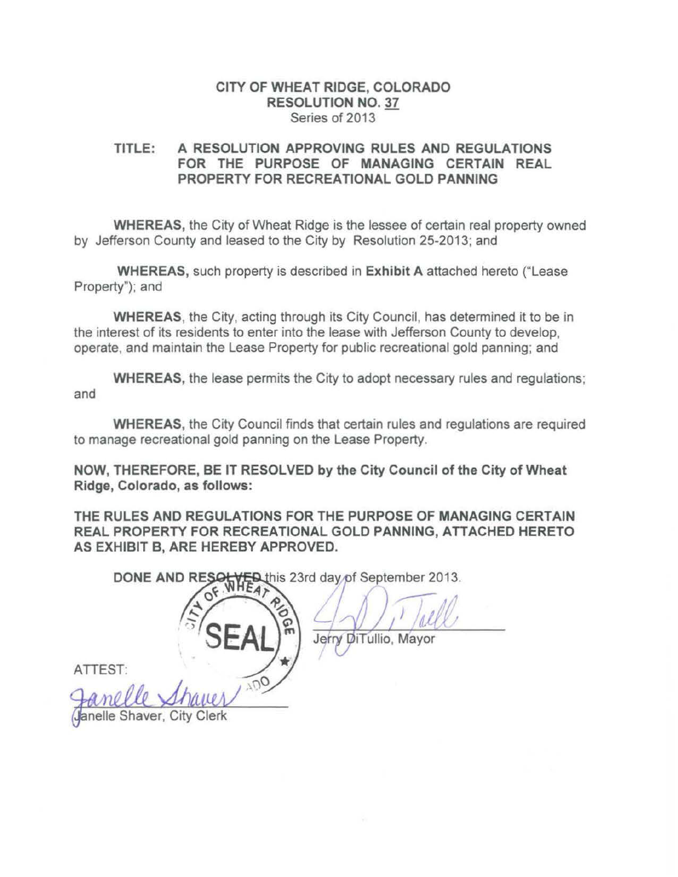#### CITY OF WHEAT RIDGE, COLORADO RESOLUTION NO. 37 Series of 2013

### TITLE: A RESOLUTION APPROVING RULES AND REGULATIONS FOR THE PURPOSE OF MANAGING CERTAIN REAL PROPERTY FOR RECREATIONAL GOLD PANNING

WHEREAS, the City of Wheat Ridge is the lessee of certain real property owned by Jefferson County and leased to the City by Resolution 25-2013; and

WHEREAS, such property is described in Exhibit A attached hereto ("Lease Property"); and

WHEREAS, the City, acting through its City Council, has determined it to be in the interest of its residents to enter into the lease with Jefferson County to develop, operate, and maintain the Lease Property for public recreational gold panning; and

WHEREAS, the lease permits the City to adopt necessary rules and regulations; and

WHEREAS, the City Council finds that certain rules and regulations are required to manage recreational gold panning on the Lease Property.

NOW, THEREFORE, BE IT RESOLVED by the City Council of the City of Wheat Ridge, Colorado, as follows:

THE RULES AND REGULATIONS FOR THE PURPOSE OF MANAGING CERTAIN REAL PROPERTY FOR RECREATIONAL GOLD PANNING, ATTACHED HERETO AS EXHIBIT B, ARE HEREBY APPROVED.

DONE AND RESOL ED this 23rd day of September 2013.

Jerry DiTullio, Mayor

ATIEST:

anelle Shaver, City Clerk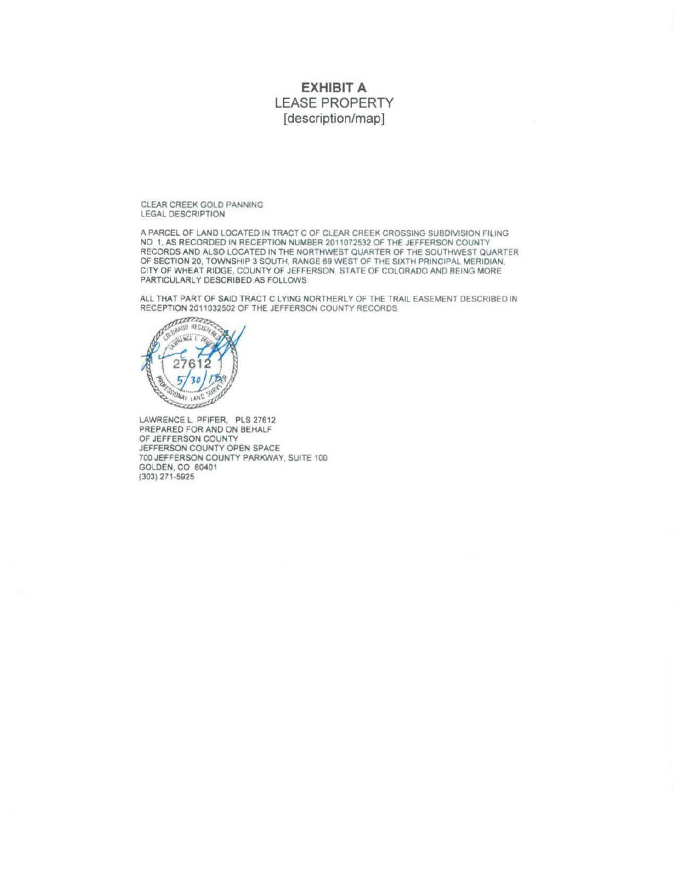## **EXHIBIT A**  LEASE PROPERTY [description/map]

CLEAR CREEK GOLD PANNING LEGAL DESCRIPTION

A PARCEL OF LAND LOCATED IN TRACT C OF CLEAR CREEK CROSSING SUBDNISION FILING NO 1 AS RECORDED IN RECEPTION NUMBER 2011072532 OF THE JEFFERSON COUNTY RECORDS AND ALSO LOCATED IN THE NORTHWEST QUARTER OF THE SOUTHWEST QUARTER OF SECTION 20. TOWNSHIP 3 SOUTH, RANGE 69 WEST OF THE SIXTH PRINCIPAL MERIDIAN CITY OF WHEAT RIDGE, COUNTY OF JEFFERSON, STATE OF COLORADO AND BEING MORE PARTICULARLY DESCRIBED AS FOLLOWS.

ALL THAT PART OF SAID TRACT C LYING NORTHERLY OF THE TRAIL EASEMENT DESCRIBED IN RECEPTION 2011032502 OF THE JEFFERSON COUNTY RECORDS



LAWRENCE L PFIFER, PLS 27612 PREPARED FOR AND ON BEHALF OF JEFFERSON COUNTY JEFFERSON COUNTY OPEN SPACE 700 JEFFERSON COUNTY PARKWAY SUITE 100 GOLDEN, CO 80401 (303)271-5925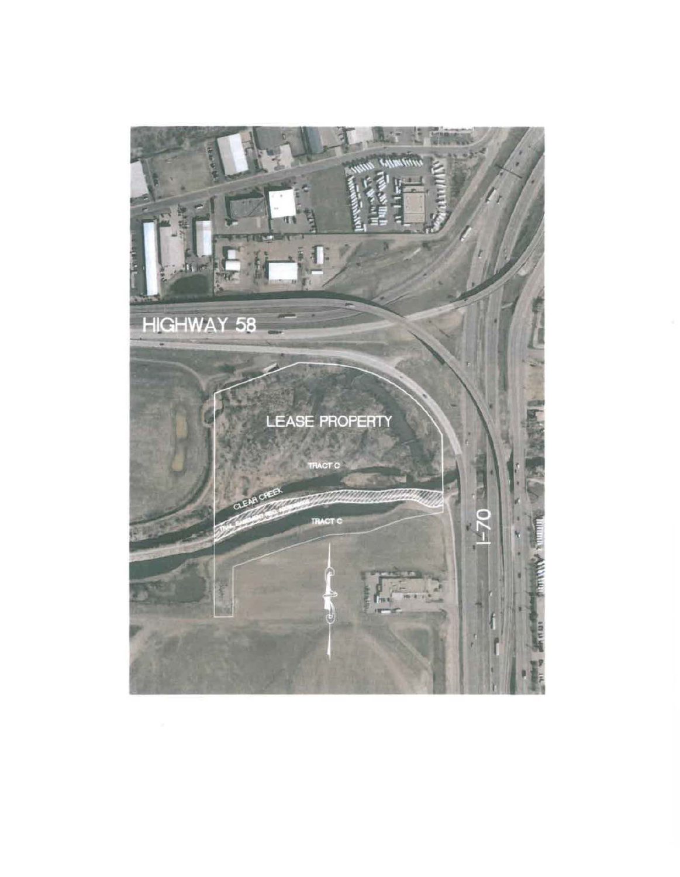